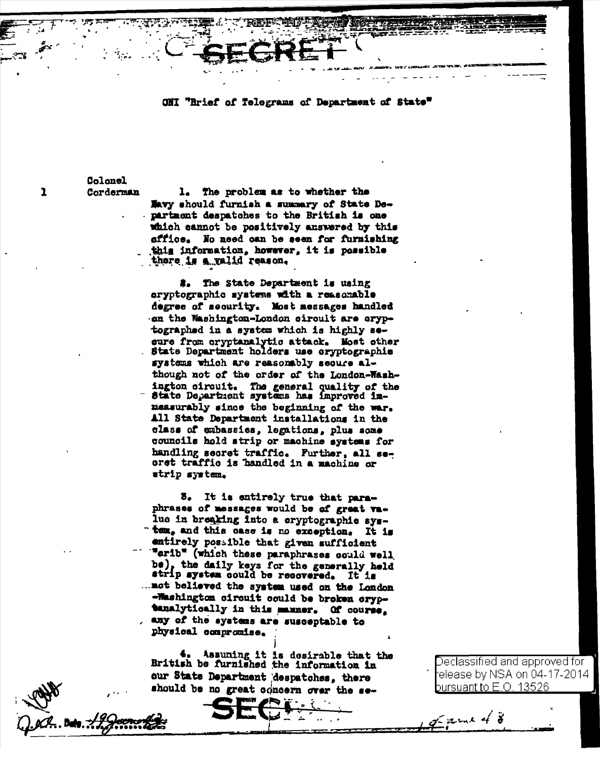ONI "Brief of Telegrams of Department of State"

Colonel Corderman

 $\mathbf{1}$ 

The problem as to whether the  $\mathbf{L}$ Navy should furnish a summary of State Department despatches to the British is one which cannot be positively answered by this sffice. No need can be seen for furnishing this information, however, it is possible there is a valid reason.

#. The State Department is using cryptographic systems with a reasonable degree of security. Most messages handled on the Washington-London circuit are cryptographed in a system which is highly sesure from cryptanalytic attack. Most other State Department holders use oryptographic systems which are reasonably secure although not of the order of the London-Washington circuit. The general quality of the State Department systems has improved inmeasurably since the beginning of the war. All State Department installations in the class of embassies, legations, plus some councils hold strip or machine systems for handling secret traffic. Further, all seoret traffic is handled in a machine or strip system.

8. It is entirely true that paraphrases of messages would be of great value in breaking into a eryptographie system, and this case is no exception. It is entirely possible that given sufficient "erib" (which these paraphrases could well be), the daily keys for the generally held strip system could be recovered. It is ... mot believed the system used on the London -Washington circuit could be broken cryptanalytically in this manner. Of course, any of the systems are susceptable to physical compromise.

Assuming it is desirable that the British be furnished the information in our State Department despatches, there should be no great concern over the se-

)eclassified and approved forelease by NSA on 04-17-2014<sup>.</sup> oursuant to E.O. 13526

 $m \times 4 \times$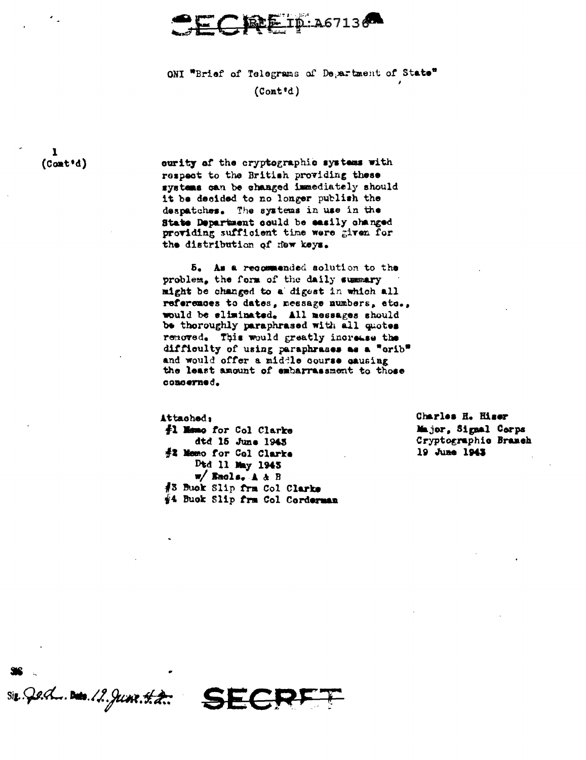

ONI "Brief of Telegrams of Department of State"

 $(Cont'd)$ 

 $\mathbf{I}$  $($ Cont<sup>+</sup>d)

curity of the cryptographic systems with respect to the British providing these systems can be changed immediately should it be decided to no longer publish the despatches. The systems in use in the State Department could be easily changed providing sufficient time were given for the distribution of new keys.

5. As a recommended solution to the problem, the form of the daily summary might be changed to a digest in which all references to dates, nessage numbers, etc., would be eliminated. All messages should be thoroughly paraphrased with all quotes removed. This would greatly increase the difficulty of using paraphrases as a "orib" and would offer a middle course causing the least amount of embarrassment to those concerned.

Attached, #1 Mamo for Col Clarke dtd 15 June 1943 #2 Memo for Col Clarke Dtd 11 May 1945  $w/$  Encls. A & B #3 Buck Slip frm Col Clarks #4 Buck Slip frm Col Corderman Charles H. Hiser Major, Signal Corps Cryptographic Branch 19 June 1943

 $size$  Qert... Date. 12. June 42. SECR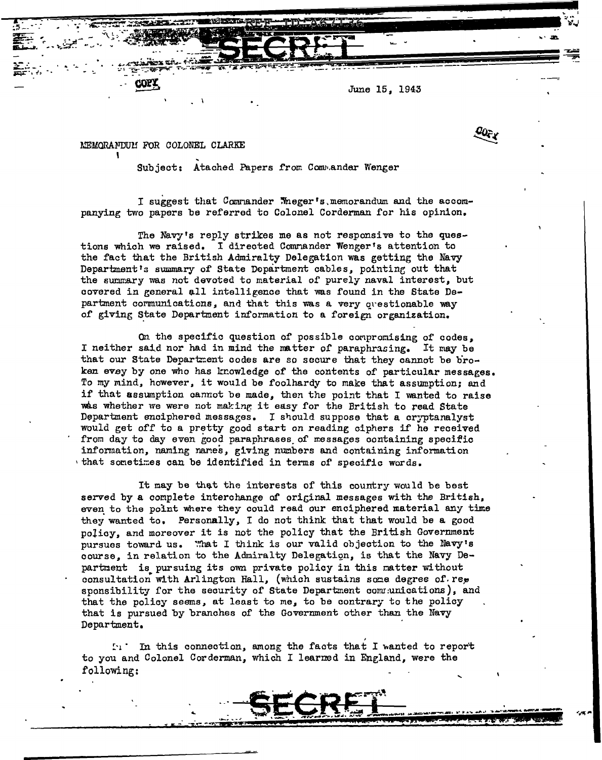June 15, 1943

MEMORANDUM FOR COLONEL CLARKE

I.  $\mathbb{R}^{L-1}$  :

' ' Subject: Atached Papers f'rom ComJ•.andar Wenger

I suggest that Comnander Meger's.memorandum and the accompanying two papers be referred to Colonel Corderman for his opinion.

The Navy's reply strikes me as not responsive to the questions which we raised. I directed Comrander Wenger's attention to the fact that the British Admiralty Delegation was getting the Navy Department's summary of State Department cables, pointing out that the summary was not devoted to material of purely naval interest, but covered in general all intelligence that was found in the State Department cormunications, and that this was a very questionable way of giving State Department information to a foreign organization.

On the specific question of possible compromising of codes, I neither said nor had in mind the matter of paraphrasing. It may be that our State Department codes are so secure that they cannot be broken evey by one who has knowledge of the contents of particular messages. To my mind, however, it would be foolhardy to make that assumption; and if that assumption cannot be made, then the point that I wanted to raise was whether we were not making it easy for the British to read State Department enciphered messages. I should suppose that a cryptanalyst would get off to a pretty good start on reading ciphers if he received from day to day even good paraphrases of messages containing specific infonnation, naming nanes, giving numbers and containing information that sometimes can be identified in terms of specific words.

It may be that the interests of this country would be best served by a complete interchange of original messages with the British, even to the point where they could read our enciphered material any time they wanted to. Personally, I do not think that that would be a good poJioy, and moreover it is not the policy that the British Govermnent pursues toward us. "that I think is our valid objection to the Navy's course, in relation to the Admiralty Delegation, is that the Navy Department is pursuing its own private policy in this matter without consultation with Arlington Hall, (which sustains some degree of rep sponsibility for the security of State Department communications), and that the policy seems, at least to *me,* to be contrary to the policy that is pursued by branches of the Government other than the Navy Department.

 $\mathbb{S}_1$ . In this connection, among the facts that I wanted to report to you and Colonel Corderman, which I learned in England, were the following: